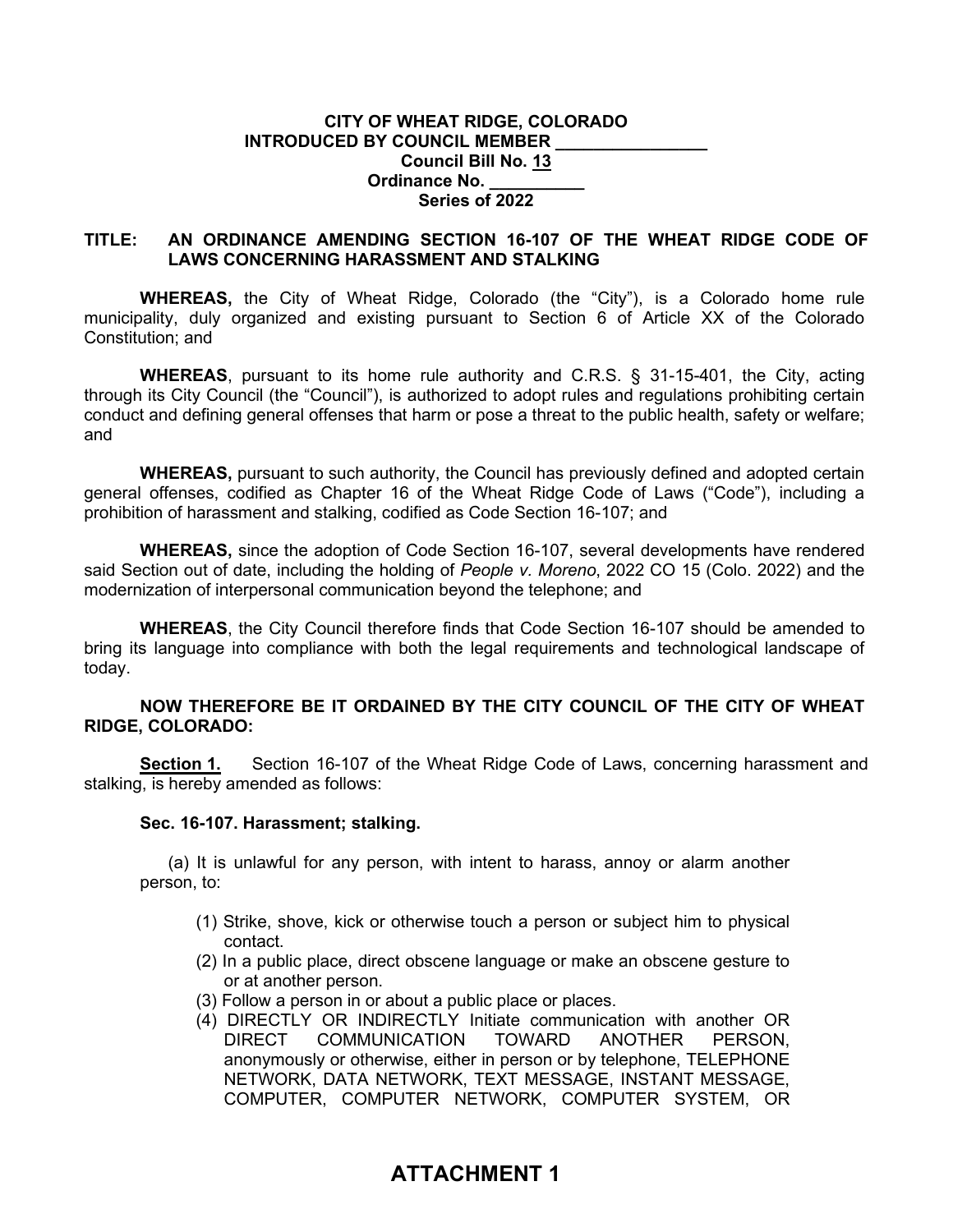#### **CITY OF WHEAT RIDGE, COLORADO INTRODUCED BY COUNCIL MEMBER Council Bill No. 13 Ordinance No. \_\_\_\_\_\_\_\_\_\_ Series of 2022**

## **TITLE: AN ORDINANCE AMENDING SECTION 16-107 OF THE WHEAT RIDGE CODE OF LAWS CONCERNING HARASSMENT AND STALKING**

**WHEREAS,** the City of Wheat Ridge, Colorado (the "City"), is a Colorado home rule municipality, duly organized and existing pursuant to Section 6 of Article XX of the Colorado Constitution; and

**WHEREAS**, pursuant to its home rule authority and C.R.S. § 31-15-401, the City, acting through its City Council (the "Council"), is authorized to adopt rules and regulations prohibiting certain conduct and defining general offenses that harm or pose a threat to the public health, safety or welfare; and

**WHEREAS,** pursuant to such authority, the Council has previously defined and adopted certain general offenses, codified as Chapter 16 of the Wheat Ridge Code of Laws ("Code"), including a prohibition of harassment and stalking, codified as Code Section 16-107; and

**WHEREAS,** since the adoption of Code Section 16-107, several developments have rendered said Section out of date, including the holding of *People v. Moreno*, 2022 CO 15 (Colo. 2022) and the modernization of interpersonal communication beyond the telephone; and

**WHEREAS**, the City Council therefore finds that Code Section 16-107 should be amended to bring its language into compliance with both the legal requirements and technological landscape of today.

## **NOW THEREFORE BE IT ORDAINED BY THE CITY COUNCIL OF THE CITY OF WHEAT RIDGE, COLORADO:**

**Section 1.** Section 16-107 of the Wheat Ridge Code of Laws, concerning harassment and stalking, is hereby amended as follows:

#### **Sec. 16-107. Harassment; stalking.**

(a) It is unlawful for any person, with intent to harass, annoy or alarm another person, to:

- (1) Strike, shove, kick or otherwise touch a person or subject him to physical contact.
- (2) In a public place, direct obscene language or make an obscene gesture to or at another person.
- (3) Follow a person in or about a public place or places.
- (4) DIRECTLY OR INDIRECTLY Initiate communication with another OR DIRECT COMMUNICATION TOWARD ANOTHER PERSON, anonymously or otherwise, either in person or by telephone, TELEPHONE NETWORK, DATA NETWORK, TEXT MESSAGE, INSTANT MESSAGE, COMPUTER, COMPUTER NETWORK, COMPUTER SYSTEM, OR

# **ATTACHMENT 1**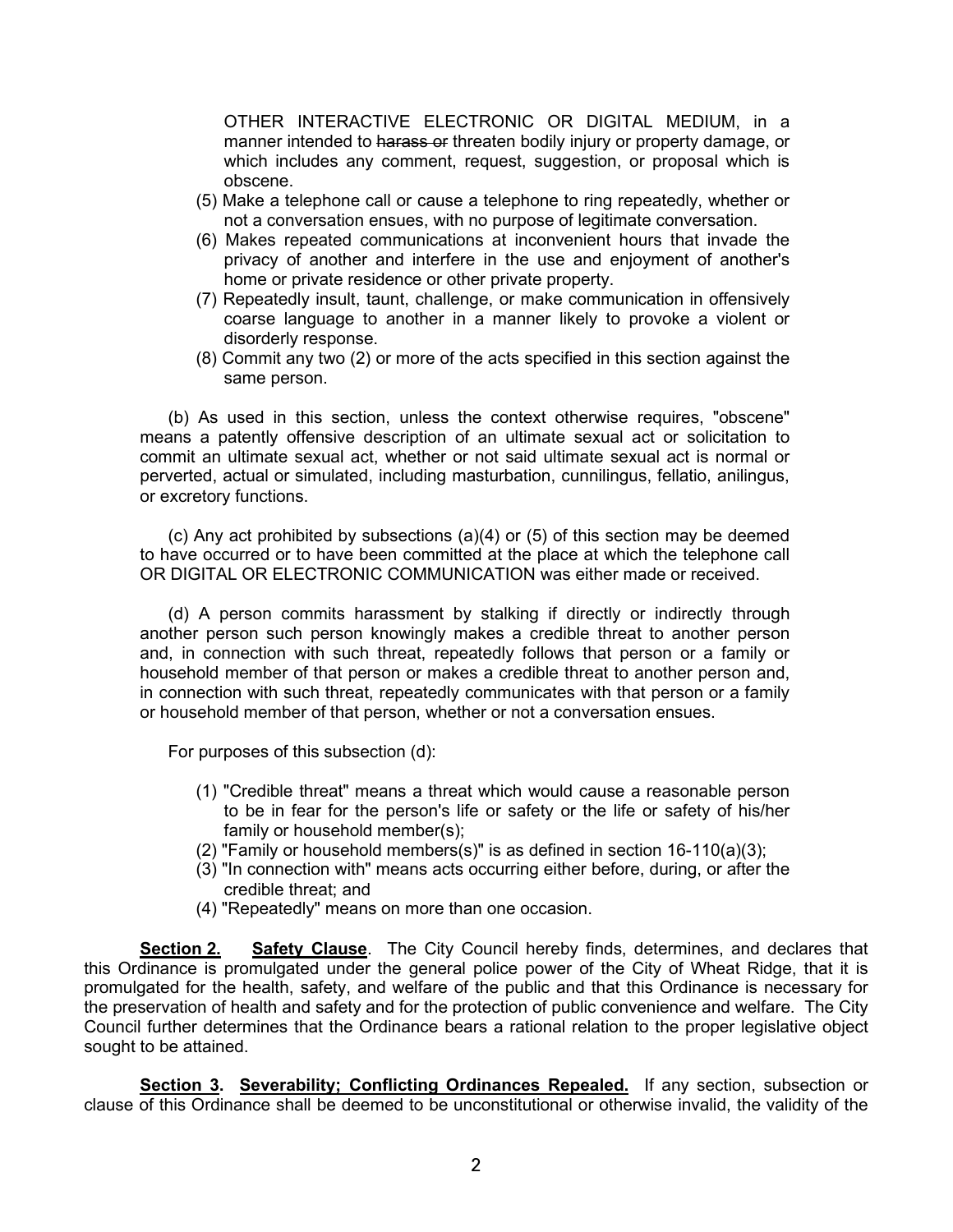OTHER INTERACTIVE ELECTRONIC OR DIGITAL MEDIUM, in a manner intended to harass or threaten bodily injury or property damage, or which includes any comment, request, suggestion, or proposal which is obscene.

- (5) Make a telephone call or cause a telephone to ring repeatedly, whether or not a conversation ensues, with no purpose of legitimate conversation.
- (6) Makes repeated communications at inconvenient hours that invade the privacy of another and interfere in the use and enjoyment of another's home or private residence or other private property.
- (7) Repeatedly insult, taunt, challenge, or make communication in offensively coarse language to another in a manner likely to provoke a violent or disorderly response.
- (8) Commit any two (2) or more of the acts specified in this section against the same person.

(b) As used in this section, unless the context otherwise requires, "obscene" means a patently offensive description of an ultimate sexual act or solicitation to commit an ultimate sexual act, whether or not said ultimate sexual act is normal or perverted, actual or simulated, including masturbation, cunnilingus, fellatio, anilingus, or excretory functions.

(c) Any act prohibited by subsections (a)(4) or (5) of this section may be deemed to have occurred or to have been committed at the place at which the telephone call OR DIGITAL OR ELECTRONIC COMMUNICATION was either made or received.

(d) A person commits harassment by stalking if directly or indirectly through another person such person knowingly makes a credible threat to another person and, in connection with such threat, repeatedly follows that person or a family or household member of that person or makes a credible threat to another person and, in connection with such threat, repeatedly communicates with that person or a family or household member of that person, whether or not a conversation ensues.

For purposes of this subsection (d):

- (1) "Credible threat" means a threat which would cause a reasonable person to be in fear for the person's life or safety or the life or safety of his/her family or household member(s);
- (2) "Family or household members(s)" is as defined in section 16-110(a)(3);
- (3) "In connection with" means acts occurring either before, during, or after the credible threat; and
- (4) "Repeatedly" means on more than one occasion.

**Section 2. Safety Clause**. The City Council hereby finds, determines, and declares that this Ordinance is promulgated under the general police power of the City of Wheat Ridge, that it is promulgated for the health, safety, and welfare of the public and that this Ordinance is necessary for the preservation of health and safety and for the protection of public convenience and welfare. The City Council further determines that the Ordinance bears a rational relation to the proper legislative object sought to be attained.

**Section 3. Severability; Conflicting Ordinances Repealed.** If any section, subsection or clause of this Ordinance shall be deemed to be unconstitutional or otherwise invalid, the validity of the